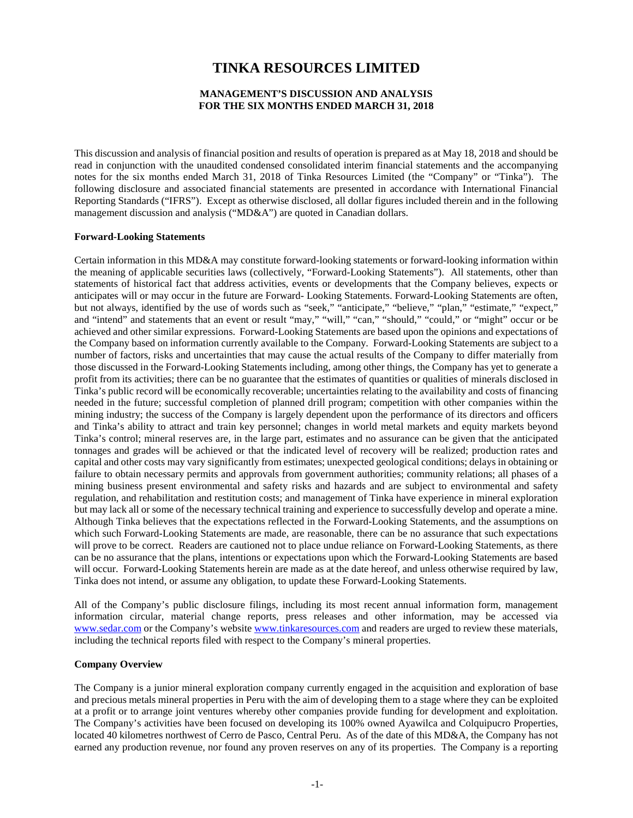# **TINKA RESOURCES LIMITED**

## **MANAGEMENT'S DISCUSSION AND ANALYSIS FOR THE SIX MONTHS ENDED MARCH 31, 2018**

This discussion and analysis of financial position and results of operation is prepared as at May 18, 2018 and should be read in conjunction with the unaudited condensed consolidated interim financial statements and the accompanying notes for the six months ended March 31, 2018 of Tinka Resources Limited (the "Company" or "Tinka"). The following disclosure and associated financial statements are presented in accordance with International Financial Reporting Standards ("IFRS"). Except as otherwise disclosed, all dollar figures included therein and in the following management discussion and analysis ("MD&A") are quoted in Canadian dollars.

#### **Forward-Looking Statements**

Certain information in this MD&A may constitute forward-looking statements or forward-looking information within the meaning of applicable securities laws (collectively, "Forward-Looking Statements"). All statements, other than statements of historical fact that address activities, events or developments that the Company believes, expects or anticipates will or may occur in the future are Forward- Looking Statements. Forward-Looking Statements are often, but not always, identified by the use of words such as "seek," "anticipate," "believe," "plan," "estimate," "expect," and "intend" and statements that an event or result "may," "will," "can," "should," "could," or "might" occur or be achieved and other similar expressions. Forward-Looking Statements are based upon the opinions and expectations of the Company based on information currently available to the Company. Forward-Looking Statements are subject to a number of factors, risks and uncertainties that may cause the actual results of the Company to differ materially from those discussed in the Forward-Looking Statements including, among other things, the Company has yet to generate a profit from its activities; there can be no guarantee that the estimates of quantities or qualities of minerals disclosed in Tinka's public record will be economically recoverable; uncertainties relating to the availability and costs of financing needed in the future; successful completion of planned drill program; competition with other companies within the mining industry; the success of the Company is largely dependent upon the performance of its directors and officers and Tinka's ability to attract and train key personnel; changes in world metal markets and equity markets beyond Tinka's control; mineral reserves are, in the large part, estimates and no assurance can be given that the anticipated tonnages and grades will be achieved or that the indicated level of recovery will be realized; production rates and capital and other costs may vary significantly from estimates; unexpected geological conditions; delays in obtaining or failure to obtain necessary permits and approvals from government authorities; community relations; all phases of a mining business present environmental and safety risks and hazards and are subject to environmental and safety regulation, and rehabilitation and restitution costs; and management of Tinka have experience in mineral exploration but may lack all or some of the necessary technical training and experience to successfully develop and operate a mine. Although Tinka believes that the expectations reflected in the Forward-Looking Statements, and the assumptions on which such Forward-Looking Statements are made, are reasonable, there can be no assurance that such expectations will prove to be correct. Readers are cautioned not to place undue reliance on Forward-Looking Statements, as there can be no assurance that the plans, intentions or expectations upon which the Forward-Looking Statements are based will occur. Forward-Looking Statements herein are made as at the date hereof, and unless otherwise required by law, Tinka does not intend, or assume any obligation, to update these Forward-Looking Statements.

All of the Company's public disclosure filings, including its most recent annual information form, management information circular, material change reports, press releases and other information, may be accessed via [www.sedar.com](http://www.sedar.com/) or the Company's website [www.tinkaresources.com](http://www.tinkaresources.com/) and readers are urged to review these materials, including the technical reports filed with respect to the Company's mineral properties.

#### **Company Overview**

The Company is a junior mineral exploration company currently engaged in the acquisition and exploration of base and precious metals mineral properties in Peru with the aim of developing them to a stage where they can be exploited at a profit or to arrange joint ventures whereby other companies provide funding for development and exploitation. The Company's activities have been focused on developing its 100% owned Ayawilca and Colquipucro Properties, located 40 kilometres northwest of Cerro de Pasco, Central Peru. As of the date of this MD&A, the Company has not earned any production revenue, nor found any proven reserves on any of its properties. The Company is a reporting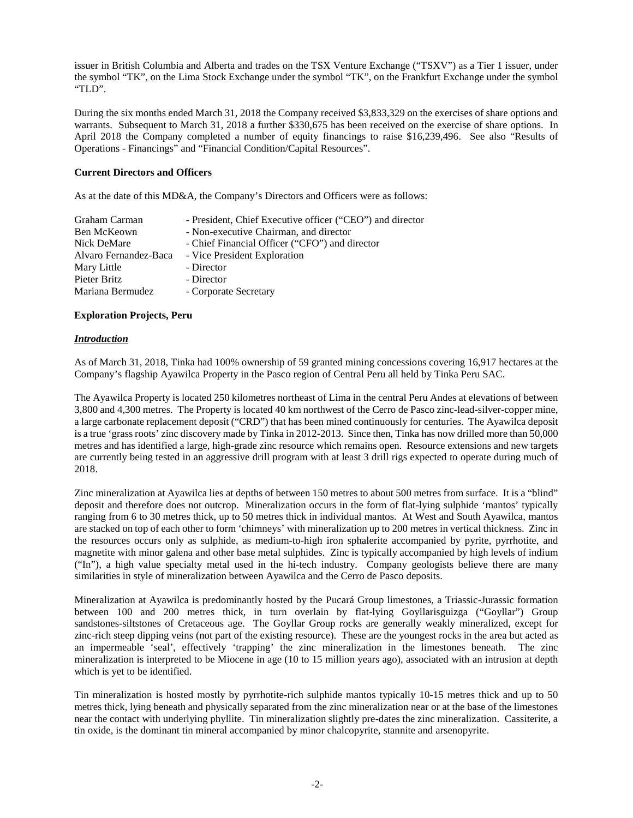issuer in British Columbia and Alberta and trades on the TSX Venture Exchange ("TSXV") as a Tier 1 issuer, under the symbol "TK", on the Lima Stock Exchange under the symbol "TK", on the Frankfurt Exchange under the symbol "TLD".

During the six months ended March 31, 2018 the Company received \$3,833,329 on the exercises of share options and warrants. Subsequent to March 31, 2018 a further \$330,675 has been received on the exercise of share options. In April 2018 the Company completed a number of equity financings to raise \$16,239,496. See also "Results of Operations - Financings" and "Financial Condition/Capital Resources".

## **Current Directors and Officers**

As at the date of this MD&A, the Company's Directors and Officers were as follows:

| Graham Carman         | - President, Chief Executive officer ("CEO") and director |
|-----------------------|-----------------------------------------------------------|
| Ben McKeown           | - Non-executive Chairman, and director                    |
| Nick DeMare           | - Chief Financial Officer ("CFO") and director            |
| Alvaro Fernandez-Baca | - Vice President Exploration                              |
| Mary Little           | - Director                                                |
| Pieter Britz          | - Director                                                |
| Mariana Bermudez      | - Corporate Secretary                                     |

## **Exploration Projects, Peru**

#### *Introduction*

As of March 31, 2018, Tinka had 100% ownership of 59 granted mining concessions covering 16,917 hectares at the Company's flagship Ayawilca Property in the Pasco region of Central Peru all held by Tinka Peru SAC.

The Ayawilca Property is located 250 kilometres northeast of Lima in the central Peru Andes at elevations of between 3,800 and 4,300 metres. The Property is located 40 km northwest of the Cerro de Pasco zinc-lead-silver-copper mine, a large carbonate replacement deposit ("CRD") that has been mined continuously for centuries. The Ayawilca deposit is a true 'grass roots' zinc discovery made by Tinka in 2012-2013. Since then, Tinka has now drilled more than 50,000 metres and has identified a large, high-grade zinc resource which remains open. Resource extensions and new targets are currently being tested in an aggressive drill program with at least 3 drill rigs expected to operate during much of 2018.

Zinc mineralization at Ayawilca lies at depths of between 150 metres to about 500 metres from surface. It is a "blind" deposit and therefore does not outcrop. Mineralization occurs in the form of flat-lying sulphide 'mantos' typically ranging from 6 to 30 metres thick, up to 50 metres thick in individual mantos. At West and South Ayawilca, mantos are stacked on top of each other to form 'chimneys' with mineralization up to 200 metres in vertical thickness. Zinc in the resources occurs only as sulphide, as medium-to-high iron sphalerite accompanied by pyrite, pyrrhotite, and magnetite with minor galena and other base metal sulphides. Zinc is typically accompanied by high levels of indium ("In"), a high value specialty metal used in the hi-tech industry. Company geologists believe there are many similarities in style of mineralization between Ayawilca and the Cerro de Pasco deposits.

Mineralization at Ayawilca is predominantly hosted by the Pucará Group limestones, a Triassic-Jurassic formation between 100 and 200 metres thick, in turn overlain by flat-lying Goyllarisguizga ("Goyllar") Group sandstones-siltstones of Cretaceous age. The Goyllar Group rocks are generally weakly mineralized, except for zinc-rich steep dipping veins (not part of the existing resource). These are the youngest rocks in the area but acted as an impermeable 'seal', effectively 'trapping' the zinc mineralization in the limestones beneath. The zinc mineralization is interpreted to be Miocene in age (10 to 15 million years ago), associated with an intrusion at depth which is yet to be identified.

Tin mineralization is hosted mostly by pyrrhotite-rich sulphide mantos typically 10-15 metres thick and up to 50 metres thick, lying beneath and physically separated from the zinc mineralization near or at the base of the limestones near the contact with underlying phyllite. Tin mineralization slightly pre-dates the zinc mineralization. Cassiterite, a tin oxide, is the dominant tin mineral accompanied by minor chalcopyrite, stannite and arsenopyrite.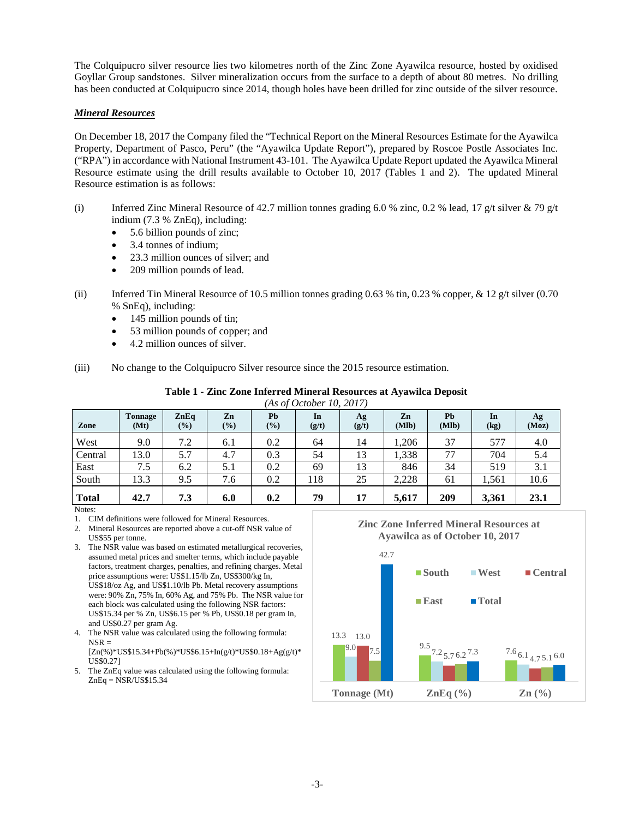The Colquipucro silver resource lies two kilometres north of the Zinc Zone Ayawilca resource, hosted by oxidised Goyllar Group sandstones. Silver mineralization occurs from the surface to a depth of about 80 metres. No drilling has been conducted at Colquipucro since 2014, though holes have been drilled for zinc outside of the silver resource.

## *Mineral Resources*

On December 18, 2017 the Company filed the "Technical Report on the Mineral Resources Estimate for the Ayawilca Property, Department of Pasco, Peru" (the "Ayawilca Update Report"), prepared by Roscoe Postle Associates Inc. ("RPA") in accordance with National Instrument 43-101. The Ayawilca Update Report updated the Ayawilca Mineral Resource estimate using the drill results available to October 10, 2017 (Tables 1 and 2). The updated Mineral Resource estimation is as follows:

- (i) Inferred Zinc Mineral Resource of 42.7 million tonnes grading 6.0 % zinc, 0.2 % lead, 17 g/t silver & 79 g/t indium (7.3 % ZnEq), including:
	- 5.6 billion pounds of zinc;
	- 3.4 tonnes of indium;
	- 23.3 million ounces of silver; and
	- 209 million pounds of lead.
- (ii) Inferred Tin Mineral Resource of 10.5 million tonnes grading 0.63 % tin, 0.23 % copper,  $\&$  12 g/t silver (0.70) % SnEq), including:
	- 145 million pounds of tin;
	- 53 million pounds of copper; and
	- 4.2 million ounces of silver.
- (iii) No change to the Colquipucro Silver resource since the 2015 resource estimation.

| (As of October 10, 2017) |  |
|--------------------------|--|
|--------------------------|--|

| Zone         | <b>Tonnage</b><br>(Mt) | $\mathbf{ZnEq}$<br>$\frac{1}{2}$ | Zn<br>$(\%)$ | Pb<br>(%) | In<br>(g/t) | Ag<br>(g/t) | Zn<br>(Mlb) | Pb<br>(Mlb) | In<br>(kg) | Ag<br>(Moz) |
|--------------|------------------------|----------------------------------|--------------|-----------|-------------|-------------|-------------|-------------|------------|-------------|
| West         | 9.0                    | 7.2                              | 6.1          | 0.2       | 64          | 14          | .206        | 37          | 577        | 4.0         |
| Central      | 13.0                   | 5.7                              | 4.7          | 0.3       | 54          | 13          | 1,338       | 77          | 704        | 5.4         |
| East         | 7.5                    | 6.2                              | 5.1          | 0.2       | 69          | 13          | 846         | 34          | 519        | 3.1         |
| South        | 13.3                   | 9.5                              | 7.6          | 0.2       | 118         | 25          | 2,228       | 61          | 1,561      | 10.6        |
| <b>Total</b> | 42.7                   | 7.3                              | 6.0          | 0.2       | 79          | 17          | 5,617       | 209         | 3,361      | 23.1        |

Notes:

- 1. CIM definitions were followed for Mineral Resources.
- 2. Mineral Resources are reported above a cut-off NSR value of US\$55 per tonne.
- 3. The NSR value was based on estimated metallurgical recoveries, assumed metal prices and smelter terms, which include payable factors, treatment charges, penalties, and refining charges. Metal price assumptions were: US\$1.15/lb Zn, US\$300/kg In, US\$18/oz Ag, and US\$1.10/lb Pb. Metal recovery assumptions were: 90% Zn, 75% In, 60% Ag, and 75% Pb. The NSR value for each block was calculated using the following NSR factors: US\$15.34 per % Zn, US\$6.15 per % Pb, US\$0.18 per gram In, and US\$0.27 per gram Ag.
- 4. The NSR value was calculated using the following formula:  $NSR =$  $[Zn(\%)^*US$15.34+Pb(\%)^*US$6.15+In(g/t)*US$0.18+Ag(g/t)*$

US\$0.27] 5. The ZnEq value was calculated using the following formula:

ZnEq = NSR/US\$15.34



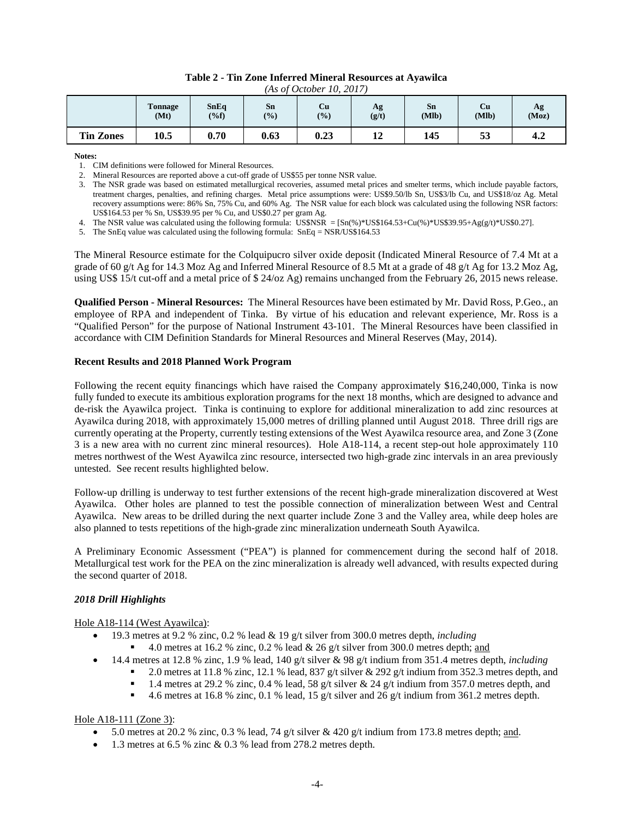|                  | <b>Tonnage</b> | <b>SnEq</b> | Sn    | Сu   | Ag                      | Sn    | Cu       | Ag    |
|------------------|----------------|-------------|-------|------|-------------------------|-------|----------|-------|
|                  | (Mt)           | $(\%f)$     | (9/0) | (%)  | (g/t)                   | (Mlb) | (Mlb)    | (Moz) |
| <b>Tin Zones</b> | 10.5           | 0.70        | 0.63  | 0.23 | $\mathbf{\Lambda}$<br>ᆂ | 145   | E٦<br>33 | 4.2   |

## **Table 2 - Tin Zone Inferred Mineral Resources at Ayawilca**

*(As of October 10, 2017)*

**Notes:**

1. CIM definitions were followed for Mineral Resources.

- 2. Mineral Resources are reported above a cut-off grade of US\$55 per tonne NSR value.
- 3. The NSR grade was based on estimated metallurgical recoveries, assumed metal prices and smelter terms, which include payable factors, treatment charges, penalties, and refining charges. Metal price assumptions were: US\$9.50/lb Sn, US\$3/lb Cu, and US\$18/oz Ag. Metal recovery assumptions were: 86% Sn, 75% Cu, and 60% Ag. The NSR value for each block was calculated using the following NSR factors: US\$164.53 per % Sn, US\$39.95 per % Cu, and US\$0.27 per gram Ag.
- 4. The NSR value was calculated using the following formula:  $USSNSR = [Sn(\%) * US$164.53 + Cu(\%) * US$39.95 + Ag(g/t)*US$0.27].$

5. The SnEq value was calculated using the following formula:  $SnEq = NSR/US$164.53$ 

The Mineral Resource estimate for the Colquipucro silver oxide deposit (Indicated Mineral Resource of 7.4 Mt at a grade of 60 g/t Ag for 14.3 Moz Ag and Inferred Mineral Resource of 8.5 Mt at a grade of 48 g/t Ag for 13.2 Moz Ag, using US\$ 15/t cut-off and a metal price of \$ 24/oz Ag) remains unchanged from the February 26, 2015 news release.

**Qualified Person - Mineral Resources:** The Mineral Resources have been estimated by Mr. David Ross, P.Geo., an employee of RPA and independent of Tinka. By virtue of his education and relevant experience, Mr. Ross is a "Qualified Person" for the purpose of National Instrument 43-101. The Mineral Resources have been classified in accordance with CIM Definition Standards for Mineral Resources and Mineral Reserves (May, 2014).

## **Recent Results and 2018 Planned Work Program**

Following the recent equity financings which have raised the Company approximately \$16,240,000, Tinka is now fully funded to execute its ambitious exploration programs for the next 18 months, which are designed to advance and de-risk the Ayawilca project. Tinka is continuing to explore for additional mineralization to add zinc resources at Ayawilca during 2018, with approximately 15,000 metres of drilling planned until August 2018. Three drill rigs are currently operating at the Property, currently testing extensions of the West Ayawilca resource area, and Zone 3 (Zone 3 is a new area with no current zinc mineral resources). Hole A18-114, a recent step-out hole approximately 110 metres northwest of the West Ayawilca zinc resource, intersected two high-grade zinc intervals in an area previously untested. See recent results highlighted below.

Follow-up drilling is underway to test further extensions of the recent high-grade mineralization discovered at West Ayawilca. Other holes are planned to test the possible connection of mineralization between West and Central Ayawilca. New areas to be drilled during the next quarter include Zone 3 and the Valley area, while deep holes are also planned to tests repetitions of the high-grade zinc mineralization underneath South Ayawilca.

A Preliminary Economic Assessment ("PEA") is planned for commencement during the second half of 2018. Metallurgical test work for the PEA on the zinc mineralization is already well advanced, with results expected during the second quarter of 2018.

## *2018 Drill Highlights*

## Hole A18-114 (West Ayawilca):

- 19.3 metres at 9.2 % zinc, 0.2 % lead & 19 g/t silver from 300.0 metres depth, *including*
	- 4.0 metres at 16.2 % zinc, 0.2 % lead  $& 26$  g/t silver from 300.0 metres depth; and
	- 14.4 metres at 12.8 % zinc, 1.9 % lead, 140 g/t silver & 98 g/t indium from 351.4 metres depth, *including*
		- 2.0 metres at 11.8 % zinc, 12.1 % lead, 837 g/t silver & 292 g/t indium from 352.3 metres depth, and
		- 1.4 metres at 29.2 % zinc, 0.4 % lead, 58 g/t silver & 24 g/t indium from 357.0 metres depth, and
		- 4.6 metres at 16.8 % zinc, 0.1 % lead, 15 g/t silver and 26 g/t indium from 361.2 metres depth.

## Hole A18-111 (Zone 3):

- 5.0 metres at 20.2 % zinc, 0.3 % lead, 74 g/t silver & 420 g/t indium from 173.8 metres depth; and.
- 1.3 metres at 6.5 % zinc  $\&$  0.3 % lead from 278.2 metres depth.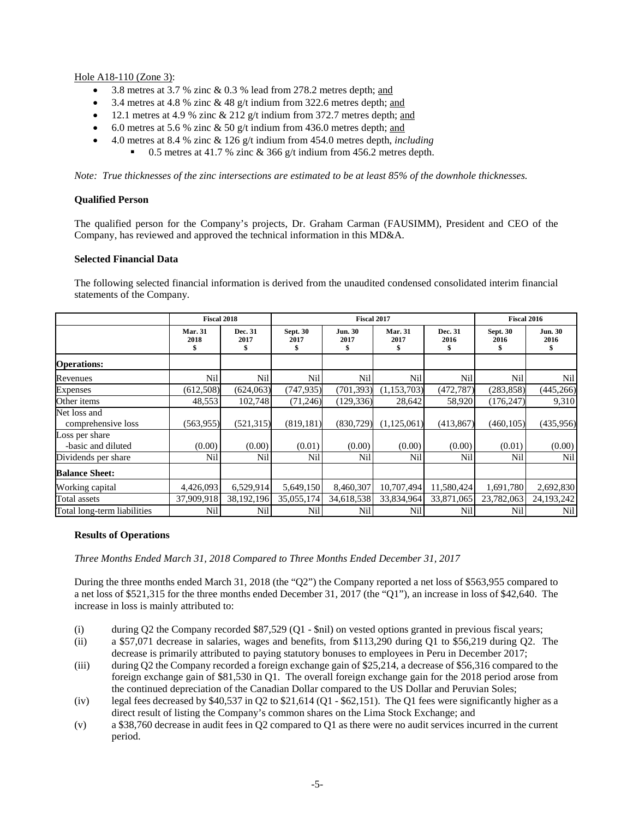Hole A18-110 (Zone 3):

- 3.8 metres at 3.7 % zinc  $\&$  0.3 % lead from 278.2 metres depth; and
- 3.4 metres at 4.8 % zinc  $& 48$  g/t indium from 322.6 metres depth; and
- 12.1 metres at 4.9 % zinc  $& 212$  g/t indium from 372.7 metres depth; and
- 6.0 metres at 5.6 % zinc & 50  $g/t$  indium from 436.0 metres depth; and
- 4.0 metres at 8.4 % zinc & 126 g/t indium from 454.0 metres depth, *including*
	- 0.5 metres at 41.7 % zinc & 366 g/t indium from 456.2 metres depth.

*Note: True thicknesses of the zinc intersections are estimated to be at least 85% of the downhole thicknesses.*

## **Qualified Person**

The qualified person for the Company's projects, Dr. Graham Carman (FAUSIMM), President and CEO of the Company, has reviewed and approved the technical information in this MD&A.

#### **Selected Financial Data**

The following selected financial information is derived from the unaudited condensed consolidated interim financial statements of the Company.

|                                      | Fiscal 2018                 |                 | Fiscal 2017             |                              |                        |                 | Fiscal 2016             |                        |
|--------------------------------------|-----------------------------|-----------------|-------------------------|------------------------------|------------------------|-----------------|-------------------------|------------------------|
|                                      | <b>Mar. 31</b><br>2018<br>ъ | Dec. 31<br>2017 | <b>Sept. 30</b><br>2017 | <b>Jun. 30</b><br>2017<br>\$ | <b>Mar. 31</b><br>2017 | Dec. 31<br>2016 | <b>Sept. 30</b><br>2016 | <b>Jun. 30</b><br>2016 |
| <b>Operations:</b>                   |                             |                 |                         |                              |                        |                 |                         |                        |
| Revenues                             | Nil                         | Nil             | Nil                     | Nil                          | Nil                    | Nil             | Nil                     | Nil                    |
| <b>Expenses</b>                      | (612, 508)                  | (624,063)       | (747, 935)              | (701, 393)                   | (1, 153, 703)          | (472, 787)      | (283, 858)              | (445, 266)             |
| Other items                          | 48,553                      | 102,748         | (71, 246)               | (129, 336)                   | 28,642                 | 58,920          | (176, 247)              | 9,310                  |
| Net loss and<br>comprehensive loss   | (563, 955)                  | (521, 315)      | (819, 181)              | (830, 729)                   | (1, 125, 061)          | (413, 867)      | (460, 105)              | (435, 956)             |
| Loss per share<br>-basic and diluted | (0.00)                      | (0.00)          | (0.01)                  | (0.00)                       | (0.00)                 | (0.00)          | (0.01)                  | (0.00)                 |
| Dividends per share                  | Nil                         | Nil             | Nil                     | Nil                          | Nil                    | Nil             | Nil                     | Nil                    |
| <b>Balance Sheet:</b>                |                             |                 |                         |                              |                        |                 |                         |                        |
| Working capital                      | 4,426,093                   | 6,529,914       | 5,649,150               | 8,460,307                    | 10,707,494             | 11,580,424      | 1,691,780               | 2,692,830              |
| Total assets                         | 37,909,918                  | 38,192,196      | 35,055,174              | 34,618,538                   | 33,834,964             | 33,871,065      | 23,782,063              | 24,193,242             |
| Total long-term liabilities          | Nil                         | Nil             | Nil                     | Nil                          | Nil                    | Nil             | Nil                     | Nil                    |

## **Results of Operations**

*Three Months Ended March 31, 2018 Compared to Three Months Ended December 31, 2017*

During the three months ended March 31, 2018 (the "Q2") the Company reported a net loss of \$563,955 compared to a net loss of \$521,315 for the three months ended December 31, 2017 (the "Q1"), an increase in loss of \$42,640. The increase in loss is mainly attributed to:

- (i) during Q2 the Company recorded \$87,529 (Q1 \$nil) on vested options granted in previous fiscal years;
- (ii) a \$57,071 decrease in salaries, wages and benefits, from \$113,290 during Q1 to \$56,219 during Q2. The decrease is primarily attributed to paying statutory bonuses to employees in Peru in December 2017;
- (iii) during Q2 the Company recorded a foreign exchange gain of \$25,214, a decrease of \$56,316 compared to the foreign exchange gain of \$81,530 in Q1. The overall foreign exchange gain for the 2018 period arose from the continued depreciation of the Canadian Dollar compared to the US Dollar and Peruvian Soles;
- (iv) legal fees decreased by \$40,537 in Q2 to \$21,614 (Q1 \$62,151). The Q1 fees were significantly higher as a direct result of listing the Company's common shares on the Lima Stock Exchange; and
- (v) a \$38,760 decrease in audit fees in Q2 compared to Q1 as there were no audit services incurred in the current period.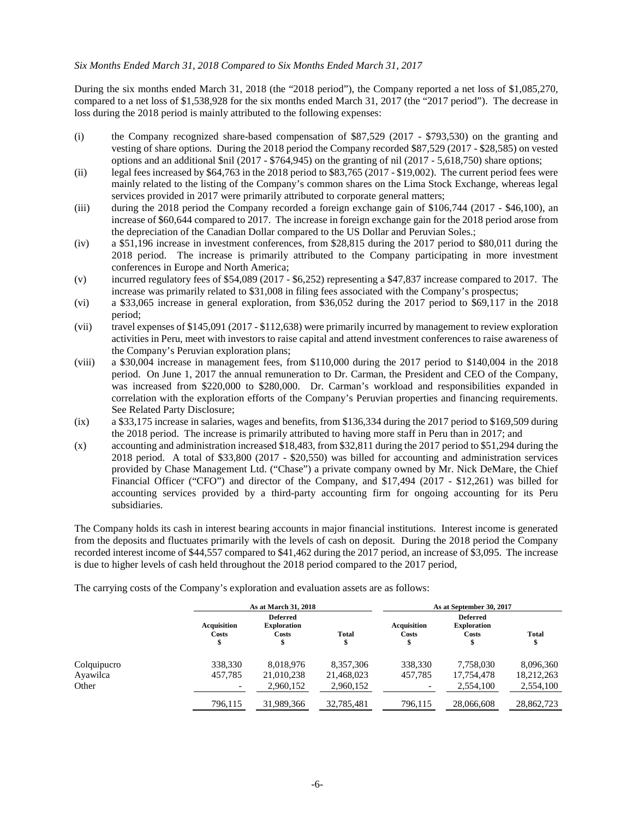*Six Months Ended March 31, 2018 Compared to Six Months Ended March 31, 2017*

During the six months ended March 31, 2018 (the "2018 period"), the Company reported a net loss of \$1,085,270, compared to a net loss of \$1,538,928 for the six months ended March 31, 2017 (the "2017 period"). The decrease in loss during the 2018 period is mainly attributed to the following expenses:

- (i) the Company recognized share-based compensation of \$87,529 (2017 \$793,530) on the granting and vesting of share options. During the 2018 period the Company recorded \$87,529 (2017 - \$28,585) on vested options and an additional \$nil (2017 - \$764,945) on the granting of nil (2017 - 5,618,750) share options;
- (ii) legal fees increased by \$64,763 in the 2018 period to \$83,765 (2017 \$19,002). The current period fees were mainly related to the listing of the Company's common shares on the Lima Stock Exchange, whereas legal services provided in 2017 were primarily attributed to corporate general matters;
- (iii) during the 2018 period the Company recorded a foreign exchange gain of \$106,744 (2017 \$46,100), an increase of \$60,644 compared to 2017. The increase in foreign exchange gain for the 2018 period arose from the depreciation of the Canadian Dollar compared to the US Dollar and Peruvian Soles.;
- (iv) a \$51,196 increase in investment conferences, from \$28,815 during the 2017 period to \$80,011 during the 2018 period. The increase is primarily attributed to the Company participating in more investment conferences in Europe and North America;
- (v) incurred regulatory fees of \$54,089 (2017 \$6,252) representing a \$47,837 increase compared to 2017. The increase was primarily related to \$31,008 in filing fees associated with the Company's prospectus;
- (vi) a \$33,065 increase in general exploration, from \$36,052 during the 2017 period to \$69,117 in the 2018 period;
- (vii) travel expenses of \$145,091 (2017 \$112,638) were primarily incurred by management to review exploration activities in Peru, meet with investors to raise capital and attend investment conferences to raise awareness of the Company's Peruvian exploration plans;
- (viii) a \$30,004 increase in management fees, from \$110,000 during the 2017 period to \$140,004 in the 2018 period. On June 1, 2017 the annual remuneration to Dr. Carman, the President and CEO of the Company, was increased from \$220,000 to \$280,000. Dr. Carman's workload and responsibilities expanded in correlation with the exploration efforts of the Company's Peruvian properties and financing requirements. See Related Party Disclosure;
- (ix) a \$33,175 increase in salaries, wages and benefits, from \$136,334 during the 2017 period to \$169,509 during the 2018 period. The increase is primarily attributed to having more staff in Peru than in 2017; and
- (x) accounting and administration increased \$18,483, from \$32,811 during the 2017 period to \$51,294 during the 2018 period. A total of \$33,800 (2017 - \$20,550) was billed for accounting and administration services provided by Chase Management Ltd. ("Chase") a private company owned by Mr. Nick DeMare, the Chief Financial Officer ("CFO") and director of the Company, and \$17,494 (2017 - \$12,261) was billed for accounting services provided by a third-party accounting firm for ongoing accounting for its Peru subsidiaries.

The Company holds its cash in interest bearing accounts in major financial institutions. Interest income is generated from the deposits and fluctuates primarily with the levels of cash on deposit. During the 2018 period the Company recorded interest income of \$44,557 compared to \$41,462 during the 2017 period, an increase of \$3,095. The increase is due to higher levels of cash held throughout the 2018 period compared to the 2017 period,

The carrying costs of the Company's exploration and evaluation assets are as follows:

|             |                                  | As at March 31, 2018                                 |             | As at September 30, 2017    |                                                |                    |  |
|-------------|----------------------------------|------------------------------------------------------|-------------|-----------------------------|------------------------------------------------|--------------------|--|
|             | <b>Acquisition</b><br>Costs<br>ъ | <b>Deferred</b><br><b>Exploration</b><br>Costs<br>\$ | Total<br>\$ | <b>Acquisition</b><br>Costs | <b>Deferred</b><br><b>Exploration</b><br>Costs | <b>Total</b><br>\$ |  |
| Colquipucro | 338,330                          | 8,018,976                                            | 8.357.306   | 338,330                     | 7,758,030                                      | 8,096,360          |  |
| Ayawilca    | 457.785                          | 21,010,238                                           | 21,468,023  | 457,785                     | 17,754,478                                     | 18,212,263         |  |
| Other       |                                  | 2.960.152                                            | 2,960,152   |                             | 2,554,100                                      | 2,554,100          |  |
|             | 796,115                          | 31,989,366                                           | 32,785,481  | 796,115                     | 28,066,608                                     | 28,862,723         |  |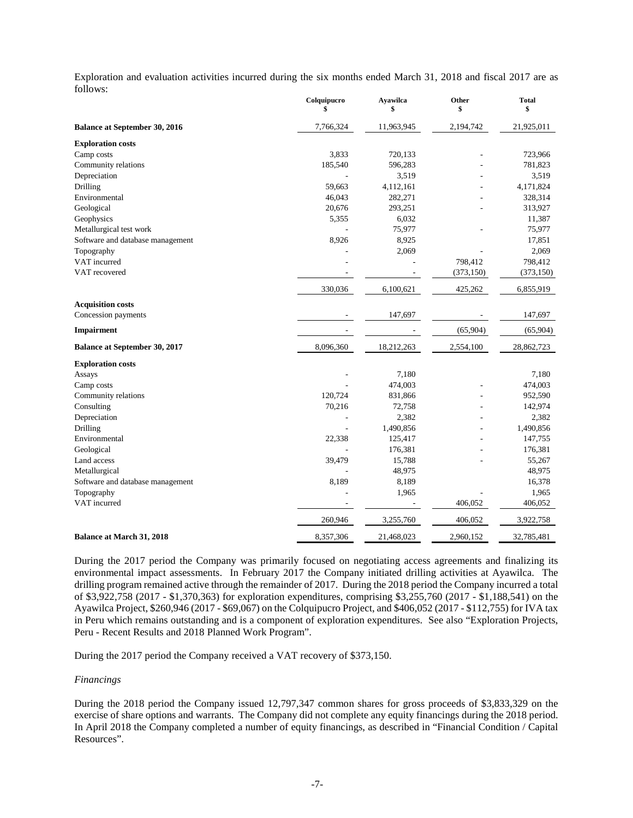Exploration and evaluation activities incurred during the six months ended March 31, 2018 and fiscal 2017 are as follows:

|                                      | Colquipucro<br>\$        | Ayawilca<br>\$ | Other<br>\$ | <b>Total</b><br>\$ |
|--------------------------------------|--------------------------|----------------|-------------|--------------------|
| <b>Balance at September 30, 2016</b> | 7,766,324                | 11,963,945     | 2,194,742   | 21,925,011         |
| <b>Exploration costs</b>             |                          |                |             |                    |
| Camp costs                           | 3,833                    | 720,133        |             | 723,966            |
| Community relations                  | 185,540                  | 596,283        |             | 781,823            |
| Depreciation                         |                          | 3,519          |             | 3,519              |
| Drilling                             | 59,663                   | 4,112,161      |             | 4,171,824          |
| Environmental                        | 46,043                   | 282,271        |             | 328,314            |
| Geological                           | 20,676                   | 293,251        |             | 313,927            |
| Geophysics                           | 5,355                    | 6,032          |             | 11,387             |
| Metallurgical test work              |                          | 75,977         |             | 75,977             |
| Software and database management     | 8,926                    | 8,925          |             | 17,851             |
| Topography                           |                          | 2,069          |             | 2,069              |
| VAT incurred                         |                          |                | 798,412     | 798,412            |
| VAT recovered                        |                          |                | (373, 150)  | (373, 150)         |
|                                      | 330,036                  | 6,100,621      | 425,262     | 6,855,919          |
| <b>Acquisition costs</b>             |                          |                |             |                    |
| Concession payments                  |                          | 147,697        |             | 147,697            |
| <b>Impairment</b>                    |                          |                | (65,904)    | (65,904)           |
| <b>Balance at September 30, 2017</b> | 8,096,360                | 18,212,263     | 2,554,100   | 28,862,723         |
| <b>Exploration costs</b>             |                          |                |             |                    |
| Assays                               |                          | 7,180          |             | 7,180              |
| Camp costs                           |                          | 474,003        |             | 474,003            |
| Community relations                  | 120,724                  | 831,866        |             | 952,590            |
| Consulting                           | 70,216                   | 72,758         |             | 142,974            |
| Depreciation                         |                          | 2,382          |             | 2,382              |
| Drilling                             |                          | 1,490,856      |             | 1,490,856          |
| Environmental                        | 22,338                   | 125,417        |             | 147,755            |
| Geological                           |                          | 176,381        |             | 176,381            |
| Land access                          | 39,479                   | 15,788         |             | 55,267             |
| Metallurgical                        |                          | 48,975         |             | 48,975             |
| Software and database management     | 8,189                    | 8,189          |             | 16,378             |
| Topography                           |                          | 1,965          |             | 1,965              |
| VAT incurred                         | $\overline{\phantom{a}}$ |                | 406,052     | 406,052            |
|                                      | 260,946                  | 3,255,760      | 406,052     | 3,922,758          |
| <b>Balance at March 31, 2018</b>     | 8,357,306                | 21,468,023     | 2,960,152   | 32,785,481         |

During the 2017 period the Company was primarily focused on negotiating access agreements and finalizing its environmental impact assessments. In February 2017 the Company initiated drilling activities at Ayawilca. The drilling program remained active through the remainder of 2017. During the 2018 period the Company incurred a total of \$3,922,758 (2017 - \$1,370,363) for exploration expenditures, comprising \$3,255,760 (2017 - \$1,188,541) on the Ayawilca Project, \$260,946 (2017 - \$69,067) on the Colquipucro Project, and \$406,052 (2017 - \$112,755) for IVA tax in Peru which remains outstanding and is a component of exploration expenditures. See also "Exploration Projects, Peru - Recent Results and 2018 Planned Work Program".

During the 2017 period the Company received a VAT recovery of \$373,150.

#### *Financings*

During the 2018 period the Company issued 12,797,347 common shares for gross proceeds of \$3,833,329 on the exercise of share options and warrants. The Company did not complete any equity financings during the 2018 period. In April 2018 the Company completed a number of equity financings, as described in "Financial Condition / Capital Resources".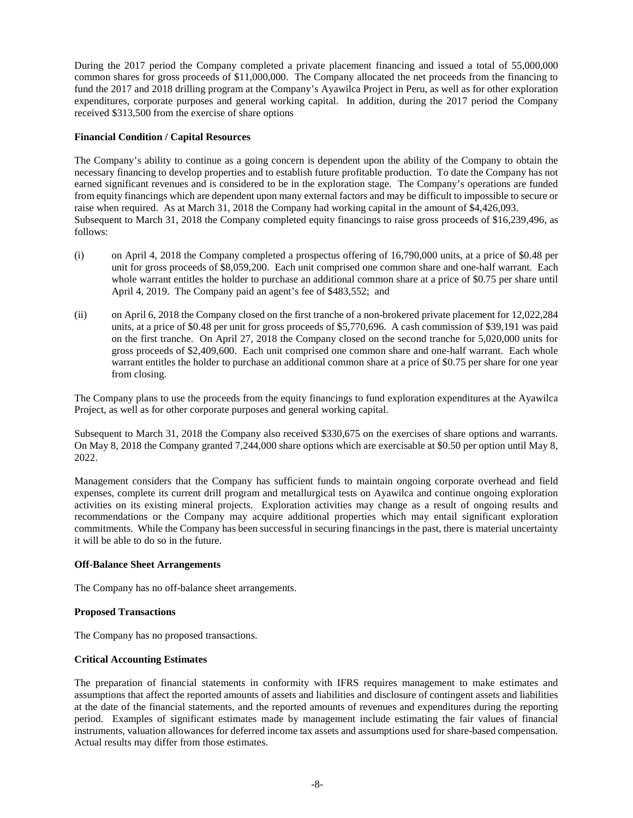During the 2017 period the Company completed a private placement financing and issued a total of 55,000,000 common shares for gross proceeds of \$11,000,000. The Company allocated the net proceeds from the financing to fund the 2017 and 2018 drilling program at the Company's Ayawilca Project in Peru, as well as for other exploration expenditures, corporate purposes and general working capital. In addition, during the 2017 period the Company received \$313,500 from the exercise of share options

## **Financial Condition / Capital Resources**

The Company's ability to continue as a going concern is dependent upon the ability of the Company to obtain the necessary financing to develop properties and to establish future profitable production. To date the Company has not earned significant revenues and is considered to be in the exploration stage. The Company's operations are funded from equity financings which are dependent upon many external factors and may be difficult to impossible to secure or raise when required. As at March 31, 2018 the Company had working capital in the amount of \$4,426,093. Subsequent to March 31, 2018 the Company completed equity financings to raise gross proceeds of \$16,239,496, as follows:

- (i) on April 4, 2018 the Company completed a prospectus offering of 16,790,000 units, at a price of \$0.48 per unit for gross proceeds of \$8,059,200. Each unit comprised one common share and one-half warrant. Each whole warrant entitles the holder to purchase an additional common share at a price of \$0.75 per share until April 4, 2019. The Company paid an agent's fee of \$483,552; and
- (ii) on April 6, 2018 the Company closed on the first tranche of a non-brokered private placement for 12,022,284 units, at a price of \$0.48 per unit for gross proceeds of \$5,770,696. A cash commission of \$39,191 was paid on the first tranche. On April 27, 2018 the Company closed on the second tranche for 5,020,000 units for gross proceeds of \$2,409,600. Each unit comprised one common share and one-half warrant. Each whole warrant entitles the holder to purchase an additional common share at a price of \$0.75 per share for one year from closing.

The Company plans to use the proceeds from the equity financings to fund exploration expenditures at the Ayawilca Project, as well as for other corporate purposes and general working capital.

Subsequent to March 31, 2018 the Company also received \$330,675 on the exercises of share options and warrants. On May 8, 2018 the Company granted 7,244,000 share options which are exercisable at \$0.50 per option until May 8, 2022.

Management considers that the Company has sufficient funds to maintain ongoing corporate overhead and field expenses, complete its current drill program and metallurgical tests on Ayawilca and continue ongoing exploration activities on its existing mineral projects. Exploration activities may change as a result of ongoing results and recommendations or the Company may acquire additional properties which may entail significant exploration commitments. While the Company has been successful in securing financings in the past, there is material uncertainty it will be able to do so in the future.

#### **Off-Balance Sheet Arrangements**

The Company has no off-balance sheet arrangements.

#### **Proposed Transactions**

The Company has no proposed transactions.

#### **Critical Accounting Estimates**

The preparation of financial statements in conformity with IFRS requires management to make estimates and assumptions that affect the reported amounts of assets and liabilities and disclosure of contingent assets and liabilities at the date of the financial statements, and the reported amounts of revenues and expenditures during the reporting period. Examples of significant estimates made by management include estimating the fair values of financial instruments, valuation allowances for deferred income tax assets and assumptions used for share-based compensation. Actual results may differ from those estimates.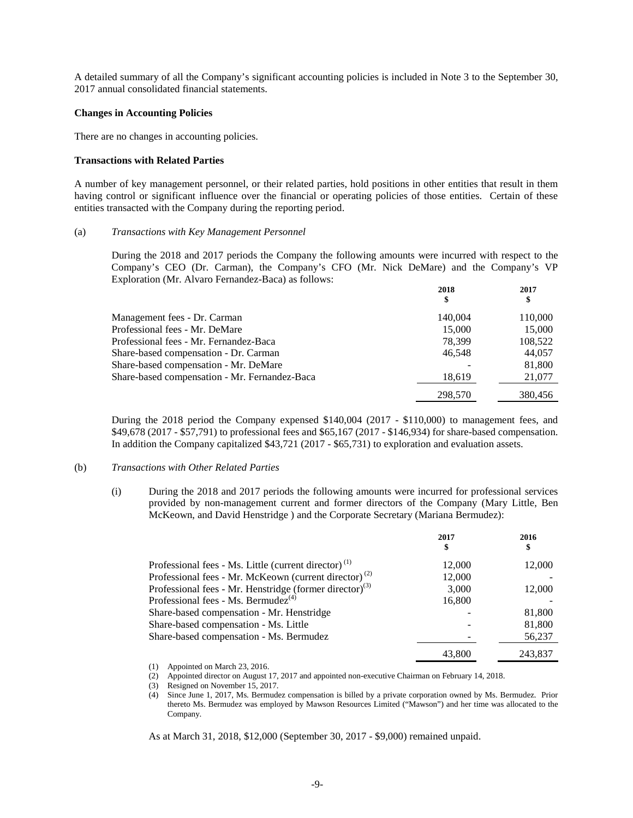A detailed summary of all the Company's significant accounting policies is included in Note 3 to the September 30, 2017 annual consolidated financial statements.

#### **Changes in Accounting Policies**

There are no changes in accounting policies.

#### **Transactions with Related Parties**

A number of key management personnel, or their related parties, hold positions in other entities that result in them having control or significant influence over the financial or operating policies of those entities. Certain of these entities transacted with the Company during the reporting period.

#### (a) *Transactions with Key Management Personnel*

During the 2018 and 2017 periods the Company the following amounts were incurred with respect to the Company's CEO (Dr. Carman), the Company's CFO (Mr. Nick DeMare) and the Company's VP Exploration (Mr. Alvaro Fernandez-Baca) as follows:

|                                               | 2018<br>\$ | 2017<br>\$ |
|-----------------------------------------------|------------|------------|
| Management fees - Dr. Carman                  | 140,004    | 110,000    |
| Professional fees - Mr. DeMare                | 15,000     | 15,000     |
| Professional fees - Mr. Fernandez-Baca        | 78.399     | 108,522    |
| Share-based compensation - Dr. Carman         | 46.548     | 44,057     |
| Share-based compensation - Mr. DeMare         |            | 81,800     |
| Share-based compensation - Mr. Fernandez-Baca | 18,619     | 21,077     |
|                                               | 298,570    | 380,456    |

During the 2018 period the Company expensed \$140,004 (2017 - \$110,000) to management fees, and \$49,678 (2017 - \$57,791) to professional fees and \$65,167 (2017 - \$146,934) for share-based compensation. In addition the Company capitalized \$43,721 (2017 - \$65,731) to exploration and evaluation assets.

#### (b) *Transactions with Other Related Parties*

(i) During the 2018 and 2017 periods the following amounts were incurred for professional services provided by non-management current and former directors of the Company (Mary Little, Ben McKeown, and David Henstridge ) and the Corporate Secretary (Mariana Bermudez):

|                                                                     | 2017<br>\$ | 2016<br>\$ |
|---------------------------------------------------------------------|------------|------------|
| Professional fees - Ms. Little (current director) <sup>(1)</sup>    | 12,000     | 12,000     |
| Professional fees - Mr. McKeown (current director) <sup>(2)</sup>   | 12,000     |            |
| Professional fees - Mr. Henstridge (former director) <sup>(3)</sup> | 3,000      | 12,000     |
| Professional fees - Ms. Bermudez <sup><math>(4)</math></sup>        | 16,800     |            |
| Share-based compensation - Mr. Henstridge                           |            | 81,800     |
| Share-based compensation - Ms. Little                               |            | 81,800     |
| Share-based compensation - Ms. Bermudez                             |            | 56,237     |
|                                                                     | 43,800     | 243,837    |

(1) Appointed on March 23, 2016.

(2) Appointed director on August 17, 2017 and appointed non-executive Chairman on February 14, 2018.

Resigned on November 15, 2017.

(4) Since June 1, 2017, Ms. Bermudez compensation is billed by a private corporation owned by Ms. Bermudez. Prior thereto Ms. Bermudez was employed by Mawson Resources Limited ("Mawson") and her time was allocated to the Company.

As at March 31, 2018, \$12,000 (September 30, 2017 - \$9,000) remained unpaid.